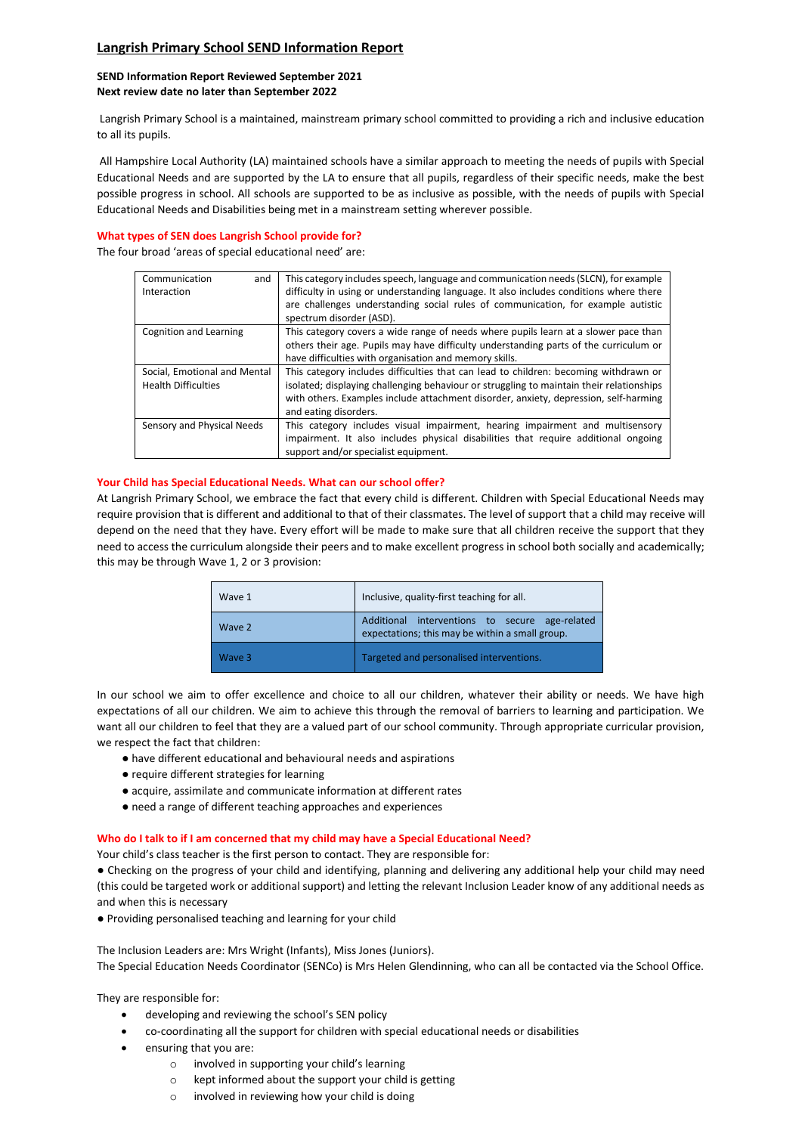## **Langrish Primary School SEND Information Report**

## **SEND Information Report Reviewed September 2021 Next review date no later than September 2022**

Langrish Primary School is a maintained, mainstream primary school committed to providing a rich and inclusive education to all its pupils.

All Hampshire Local Authority (LA) maintained schools have a similar approach to meeting the needs of pupils with Special Educational Needs and are supported by the LA to ensure that all pupils, regardless of their specific needs, make the best possible progress in school. All schools are supported to be as inclusive as possible, with the needs of pupils with Special Educational Needs and Disabilities being met in a mainstream setting wherever possible.

## **What types of SEN does Langrish School provide for?**

The four broad 'areas of special educational need' are:

| Communication<br>and         | This category includes speech, language and communication needs (SLCN), for example      |
|------------------------------|------------------------------------------------------------------------------------------|
| Interaction                  | difficulty in using or understanding language. It also includes conditions where there   |
|                              | are challenges understanding social rules of communication, for example autistic         |
|                              | spectrum disorder (ASD).                                                                 |
| Cognition and Learning       | This category covers a wide range of needs where pupils learn at a slower pace than      |
|                              | others their age. Pupils may have difficulty understanding parts of the curriculum or    |
|                              | have difficulties with organisation and memory skills.                                   |
| Social, Emotional and Mental | This category includes difficulties that can lead to children: becoming withdrawn or     |
| <b>Health Difficulties</b>   | isolated; displaying challenging behaviour or struggling to maintain their relationships |
|                              | with others. Examples include attachment disorder, anxiety, depression, self-harming     |
|                              | and eating disorders.                                                                    |
| Sensory and Physical Needs   | This category includes visual impairment, hearing impairment and multisensory            |
|                              | impairment. It also includes physical disabilities that require additional ongoing       |
|                              | support and/or specialist equipment.                                                     |

## **Your Child has Special Educational Needs. What can our school offer?**

At Langrish Primary School, we embrace the fact that every child is different. Children with Special Educational Needs may require provision that is different and additional to that of their classmates. The level of support that a child may receive will depend on the need that they have. Every effort will be made to make sure that all children receive the support that they need to access the curriculum alongside their peers and to make excellent progress in school both socially and academically; this may be through Wave 1, 2 or 3 provision:

| Wave 1 | Inclusive, quality-first teaching for all.                                                        |
|--------|---------------------------------------------------------------------------------------------------|
| Wave 2 | Additional interventions to secure age-related<br>expectations; this may be within a small group. |
| Wave 3 | Targeted and personalised interventions.                                                          |

In our school we aim to offer excellence and choice to all our children, whatever their ability or needs. We have high expectations of all our children. We aim to achieve this through the removal of barriers to learning and participation. We want all our children to feel that they are a valued part of our school community. Through appropriate curricular provision, we respect the fact that children:

- have different educational and behavioural needs and aspirations
- require different strategies for learning
- acquire, assimilate and communicate information at different rates
- need a range of different teaching approaches and experiences

### **Who do I talk to if I am concerned that my child may have a Special Educational Need?**

Your child's class teacher is the first person to contact. They are responsible for:

● Checking on the progress of your child and identifying, planning and delivering any additional help your child may need (this could be targeted work or additional support) and letting the relevant Inclusion Leader know of any additional needs as and when this is necessary

● Providing personalised teaching and learning for your child

The Inclusion Leaders are: Mrs Wright (Infants), Miss Jones (Juniors). The Special Education Needs Coordinator (SENCo) is Mrs Helen Glendinning, who can all be contacted via the School Office.

They are responsible for:

- developing and reviewing the school's SEN policy
- co-coordinating all the support for children with special educational needs or disabilities
- ensuring that you are:
	- o involved in supporting your child's learning
	- o kept informed about the support your child is getting
	- o involved in reviewing how your child is doing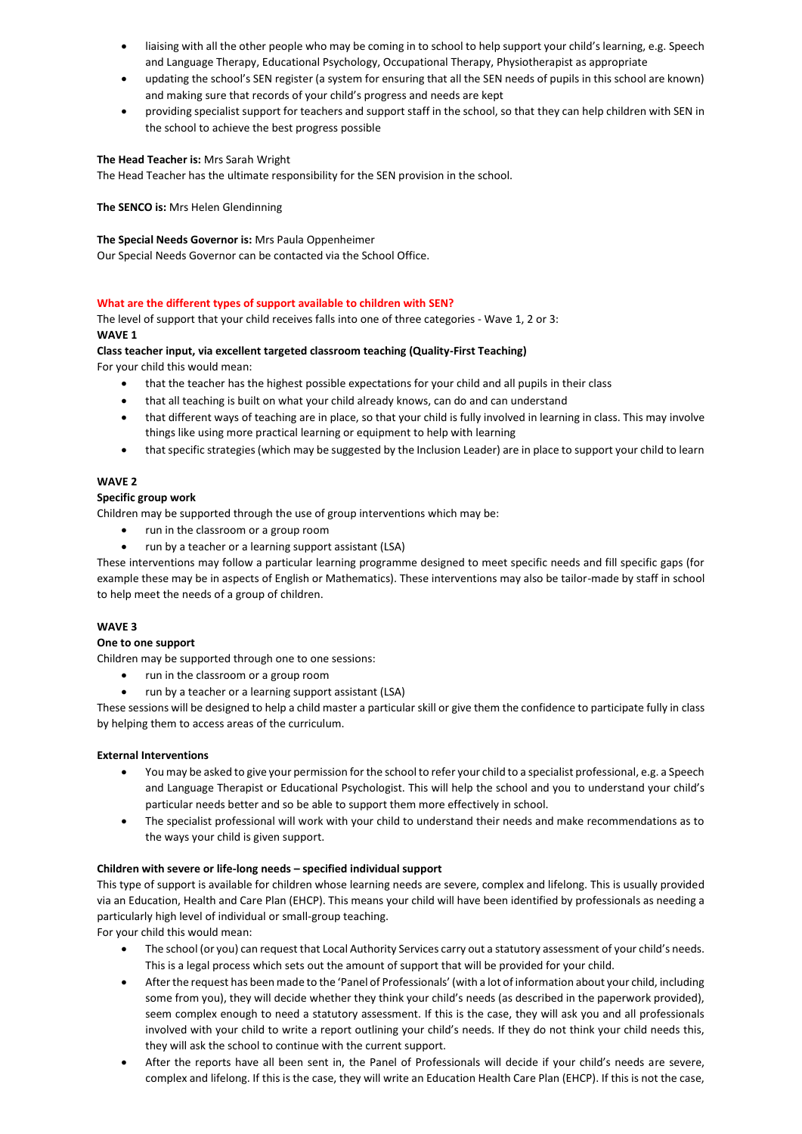- liaising with all the other people who may be coming in to school to help support your child's learning, e.g. Speech and Language Therapy, Educational Psychology, Occupational Therapy, Physiotherapist as appropriate
- updating the school's SEN register (a system for ensuring that all the SEN needs of pupils in this school are known) and making sure that records of your child's progress and needs are kept
- providing specialist support for teachers and support staff in the school, so that they can help children with SEN in the school to achieve the best progress possible

## **The Head Teacher is:** Mrs Sarah Wright

The Head Teacher has the ultimate responsibility for the SEN provision in the school.

**The SENCO is:** Mrs Helen Glendinning

## **The Special Needs Governor is:** Mrs Paula Oppenheimer

Our Special Needs Governor can be contacted via the School Office.

## **What are the different types of support available to children with SEN?**

The level of support that your child receives falls into one of three categories - Wave 1, 2 or 3: **WAVE 1**

## **Class teacher input, via excellent targeted classroom teaching (Quality-First Teaching)**

For your child this would mean:

- that the teacher has the highest possible expectations for your child and all pupils in their class
- that all teaching is built on what your child already knows, can do and can understand
- that different ways of teaching are in place, so that your child is fully involved in learning in class. This may involve things like using more practical learning or equipment to help with learning
- that specific strategies (which may be suggested by the Inclusion Leader) are in place to support your child to learn

## **WAVE 2**

### **Specific group work**

Children may be supported through the use of group interventions which may be:

- run in the classroom or a group room
- run by a teacher or a learning support assistant (LSA)

These interventions may follow a particular learning programme designed to meet specific needs and fill specific gaps (for example these may be in aspects of English or Mathematics). These interventions may also be tailor-made by staff in school to help meet the needs of a group of children.

### **WAVE 3**

### **One to one support**

Children may be supported through one to one sessions:

- run in the classroom or a group room
- run by a teacher or a learning support assistant (LSA)

These sessions will be designed to help a child master a particular skill or give them the confidence to participate fully in class by helping them to access areas of the curriculum.

### **External Interventions**

- You may be asked to give your permission for the school to refer your child to a specialist professional, e.g. a Speech and Language Therapist or Educational Psychologist. This will help the school and you to understand your child's particular needs better and so be able to support them more effectively in school.
- The specialist professional will work with your child to understand their needs and make recommendations as to the ways your child is given support.

## **Children with severe or life-long needs – specified individual support**

This type of support is available for children whose learning needs are severe, complex and lifelong. This is usually provided via an Education, Health and Care Plan (EHCP). This means your child will have been identified by professionals as needing a particularly high level of individual or small-group teaching.

For your child this would mean:

- The school (or you) can request that Local Authority Services carry out a statutory assessment of your child's needs. This is a legal process which sets out the amount of support that will be provided for your child.
- After the request has been made to the 'Panel of Professionals' (with a lot of information about your child, including some from you), they will decide whether they think your child's needs (as described in the paperwork provided), seem complex enough to need a statutory assessment. If this is the case, they will ask you and all professionals involved with your child to write a report outlining your child's needs. If they do not think your child needs this, they will ask the school to continue with the current support.
- After the reports have all been sent in, the Panel of Professionals will decide if your child's needs are severe, complex and lifelong. If this is the case, they will write an Education Health Care Plan (EHCP). If this is not the case,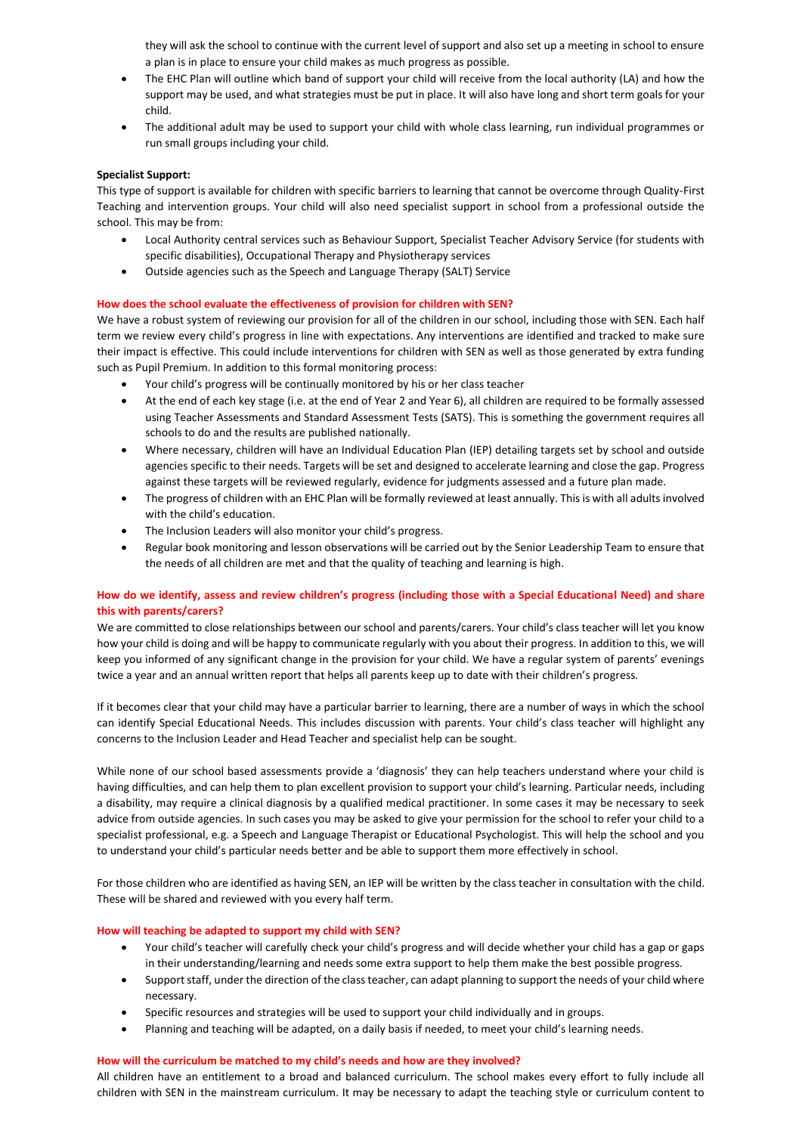they will ask the school to continue with the current level of support and also set up a meeting in school to ensure a plan is in place to ensure your child makes as much progress as possible.

- The EHC Plan will outline which band of support your child will receive from the local authority (LA) and how the support may be used, and what strategies must be put in place. It will also have long and short term goals for your child.
- The additional adult may be used to support your child with whole class learning, run individual programmes or run small groups including your child.

### **Specialist Support:**

This type of support is available for children with specific barriers to learning that cannot be overcome through Quality-First Teaching and intervention groups. Your child will also need specialist support in school from a professional outside the school. This may be from:

- Local Authority central services such as Behaviour Support, Specialist Teacher Advisory Service (for students with specific disabilities), Occupational Therapy and Physiotherapy services
- Outside agencies such as the Speech and Language Therapy (SALT) Service

### **How does the school evaluate the effectiveness of provision for children with SEN?**

We have a robust system of reviewing our provision for all of the children in our school, including those with SEN. Each half term we review every child's progress in line with expectations. Any interventions are identified and tracked to make sure their impact is effective. This could include interventions for children with SEN as well as those generated by extra funding such as Pupil Premium. In addition to this formal monitoring process:

- Your child's progress will be continually monitored by his or her class teacher
- At the end of each key stage (i.e. at the end of Year 2 and Year 6), all children are required to be formally assessed using Teacher Assessments and Standard Assessment Tests (SATS). This is something the government requires all schools to do and the results are published nationally.
- Where necessary, children will have an Individual Education Plan (IEP) detailing targets set by school and outside agencies specific to their needs. Targets will be set and designed to accelerate learning and close the gap. Progress against these targets will be reviewed regularly, evidence for judgments assessed and a future plan made.
- The progress of children with an EHC Plan will be formally reviewed at least annually. This is with all adults involved with the child's education.
- The Inclusion Leaders will also monitor your child's progress.
- Regular book monitoring and lesson observations will be carried out by the Senior Leadership Team to ensure that the needs of all children are met and that the quality of teaching and learning is high.

### **How do we identify, assess and review children's progress (including those with a Special Educational Need) and share this with parents/carers?**

We are committed to close relationships between our school and parents/carers. Your child's class teacher will let you know how your child is doing and will be happy to communicate regularly with you about their progress. In addition to this, we will keep you informed of any significant change in the provision for your child. We have a regular system of parents' evenings twice a year and an annual written report that helps all parents keep up to date with their children's progress.

If it becomes clear that your child may have a particular barrier to learning, there are a number of ways in which the school can identify Special Educational Needs. This includes discussion with parents. Your child's class teacher will highlight any concerns to the Inclusion Leader and Head Teacher and specialist help can be sought.

While none of our school based assessments provide a 'diagnosis' they can help teachers understand where your child is having difficulties, and can help them to plan excellent provision to support your child's learning. Particular needs, including a disability, may require a clinical diagnosis by a qualified medical practitioner. In some cases it may be necessary to seek advice from outside agencies. In such cases you may be asked to give your permission for the school to refer your child to a specialist professional, e.g. a Speech and Language Therapist or Educational Psychologist. This will help the school and you to understand your child's particular needs better and be able to support them more effectively in school.

For those children who are identified as having SEN, an IEP will be written by the class teacher in consultation with the child. These will be shared and reviewed with you every half term.

### **How will teaching be adapted to support my child with SEN?**

- Your child's teacher will carefully check your child's progress and will decide whether your child has a gap or gaps in their understanding/learning and needs some extra support to help them make the best possible progress.
- Support staff, under the direction of the class teacher, can adapt planning to support the needs of your child where necessary.
- Specific resources and strategies will be used to support your child individually and in groups.
- Planning and teaching will be adapted, on a daily basis if needed, to meet your child's learning needs.

### **How will the curriculum be matched to my child's needs and how are they involved?**

All children have an entitlement to a broad and balanced curriculum. The school makes every effort to fully include all children with SEN in the mainstream curriculum. It may be necessary to adapt the teaching style or curriculum content to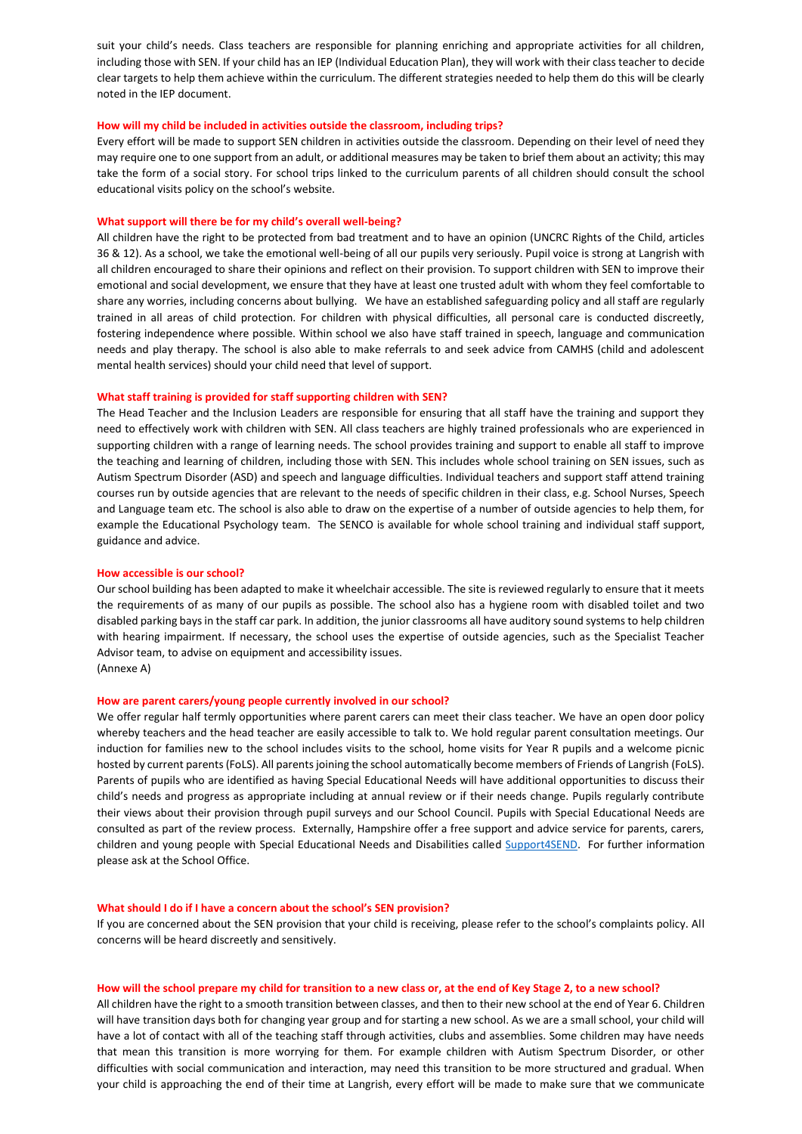suit your child's needs. Class teachers are responsible for planning enriching and appropriate activities for all children, including those with SEN. If your child has an IEP (Individual Education Plan), they will work with their class teacher to decide clear targets to help them achieve within the curriculum. The different strategies needed to help them do this will be clearly noted in the IEP document.

### **How will my child be included in activities outside the classroom, including trips?**

Every effort will be made to support SEN children in activities outside the classroom. Depending on their level of need they may require one to one support from an adult, or additional measures may be taken to brief them about an activity; this may take the form of a social story. For school trips linked to the curriculum parents of all children should consult the school educational visits policy on the school's website.

#### **What support will there be for my child's overall well-being?**

All children have the right to be protected from bad treatment and to have an opinion (UNCRC Rights of the Child, articles 36 & 12). As a school, we take the emotional well-being of all our pupils very seriously. Pupil voice is strong at Langrish with all children encouraged to share their opinions and reflect on their provision. To support children with SEN to improve their emotional and social development, we ensure that they have at least one trusted adult with whom they feel comfortable to share any worries, including concerns about bullying. We have an established safeguarding policy and all staff are regularly trained in all areas of child protection. For children with physical difficulties, all personal care is conducted discreetly, fostering independence where possible. Within school we also have staff trained in speech, language and communication needs and play therapy. The school is also able to make referrals to and seek advice from CAMHS (child and adolescent mental health services) should your child need that level of support.

### **What staff training is provided for staff supporting children with SEN?**

The Head Teacher and the Inclusion Leaders are responsible for ensuring that all staff have the training and support they need to effectively work with children with SEN. All class teachers are highly trained professionals who are experienced in supporting children with a range of learning needs. The school provides training and support to enable all staff to improve the teaching and learning of children, including those with SEN. This includes whole school training on SEN issues, such as Autism Spectrum Disorder (ASD) and speech and language difficulties. Individual teachers and support staff attend training courses run by outside agencies that are relevant to the needs of specific children in their class, e.g. School Nurses, Speech and Language team etc. The school is also able to draw on the expertise of a number of outside agencies to help them, for example the Educational Psychology team. The SENCO is available for whole school training and individual staff support, guidance and advice.

### **How accessible is our school?**

Our school building has been adapted to make it wheelchair accessible. The site is reviewed regularly to ensure that it meets the requirements of as many of our pupils as possible. The school also has a hygiene room with disabled toilet and two disabled parking bays in the staff car park. In addition, the junior classrooms all have auditory sound systems to help children with hearing impairment. If necessary, the school uses the expertise of outside agencies, such as the Specialist Teacher Advisor team, to advise on equipment and accessibility issues. (Annexe A)

#### **How are parent carers/young people currently involved in our school?**

We offer regular half termly opportunities where parent carers can meet their class teacher. We have an open door policy whereby teachers and the head teacher are easily accessible to talk to. We hold regular parent consultation meetings. Our induction for families new to the school includes visits to the school, home visits for Year R pupils and a welcome picnic hosted by current parents (FoLS). All parents joining the school automatically become members of Friends of Langrish (FoLS). Parents of pupils who are identified as having Special Educational Needs will have additional opportunities to discuss their child's needs and progress as appropriate including at annual review or if their needs change. Pupils regularly contribute their views about their provision through pupil surveys and our School Council. Pupils with Special Educational Needs are consulted as part of the review process. Externally, Hampshire offer a free support and advice service for parents, carers, children and young people with Special Educational Needs and Disabilities called [Support4SEND.](https://www.hants.gov.uk/socialcareandhealth/childrenandfamilies/specialneeds/support4send) For further information please ask at the School Office.

#### **What should I do if I have a concern about the school's SEN provision?**

If you are concerned about the SEN provision that your child is receiving, please refer to the school's complaints policy. All concerns will be heard discreetly and sensitively.

#### **How will the school prepare my child for transition to a new class or, at the end of Key Stage 2, to a new school?**

All children have the right to a smooth transition between classes, and then to their new school at the end of Year 6. Children will have transition days both for changing year group and for starting a new school. As we are a small school, your child will have a lot of contact with all of the teaching staff through activities, clubs and assemblies. Some children may have needs that mean this transition is more worrying for them. For example children with Autism Spectrum Disorder, or other difficulties with social communication and interaction, may need this transition to be more structured and gradual. When your child is approaching the end of their time at Langrish, every effort will be made to make sure that we communicate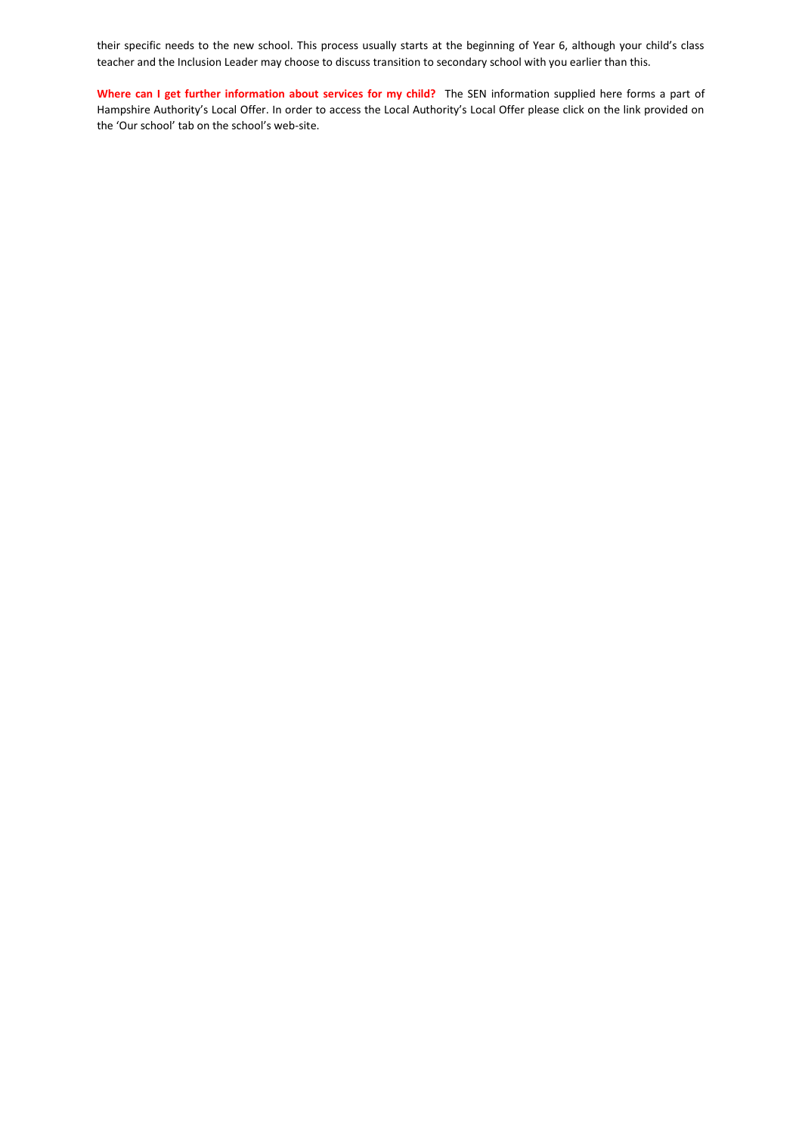their specific needs to the new school. This process usually starts at the beginning of Year 6, although your child's class teacher and the Inclusion Leader may choose to discuss transition to secondary school with you earlier than this.

**Where can I get further information about services for my child?** The SEN information supplied here forms a part of Hampshire Authority's Local Offer. In order to access the Local Authority's Local Offer please click on the link provided on the 'Our school' tab on the school's web-site.